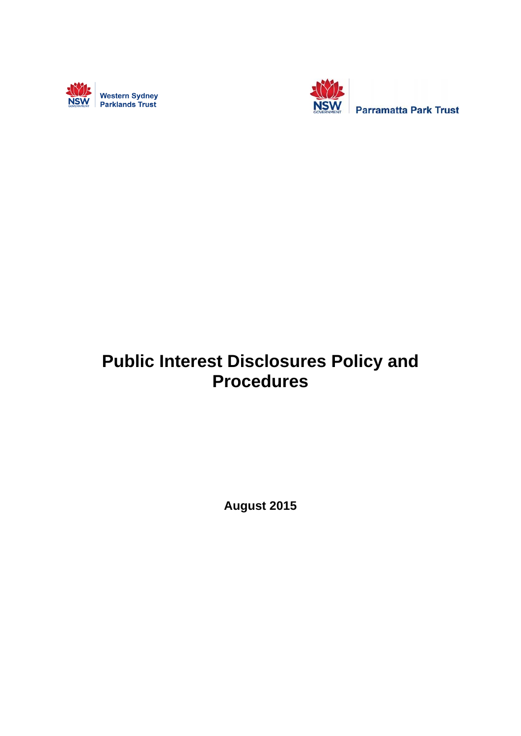



# **Public Interest Disclosures Policy and Procedures**

**August 2015**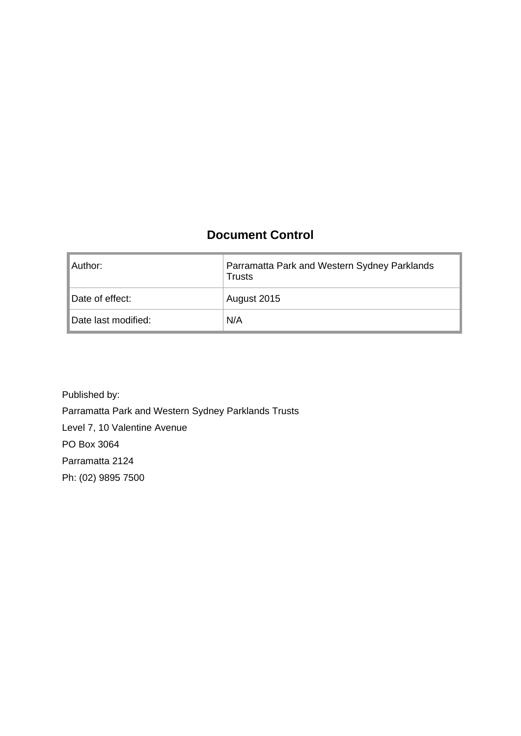### **Document Control**

| ⊺Author:            | Parramatta Park and Western Sydney Parklands<br>Trusts |
|---------------------|--------------------------------------------------------|
| Date of effect:     | August 2015                                            |
| Date last modified: | N/A                                                    |

Published by: Parramatta Park and Western Sydney Parklands Trusts Level 7, 10 Valentine Avenue PO Box 3064 Parramatta 2124 Ph: (02) 9895 7500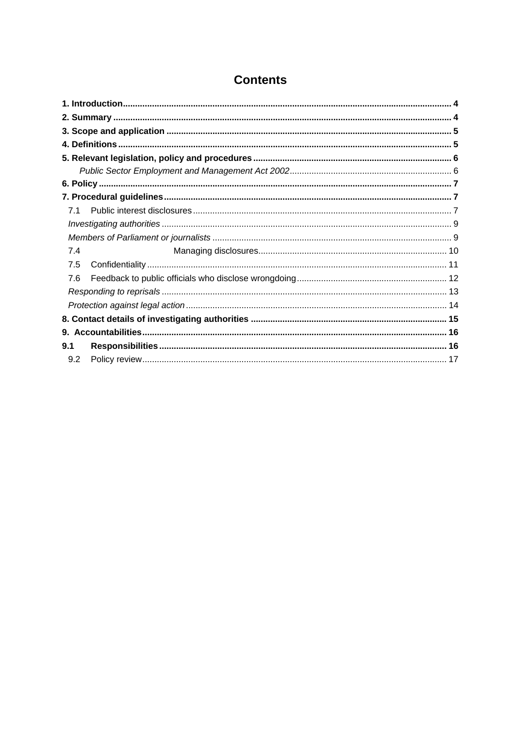| 7.1 |  |
|-----|--|
|     |  |
|     |  |
| 7.4 |  |
| 7.5 |  |
| 7.6 |  |
|     |  |
|     |  |
|     |  |
|     |  |
| 9.1 |  |
| 9.2 |  |

## **Contents**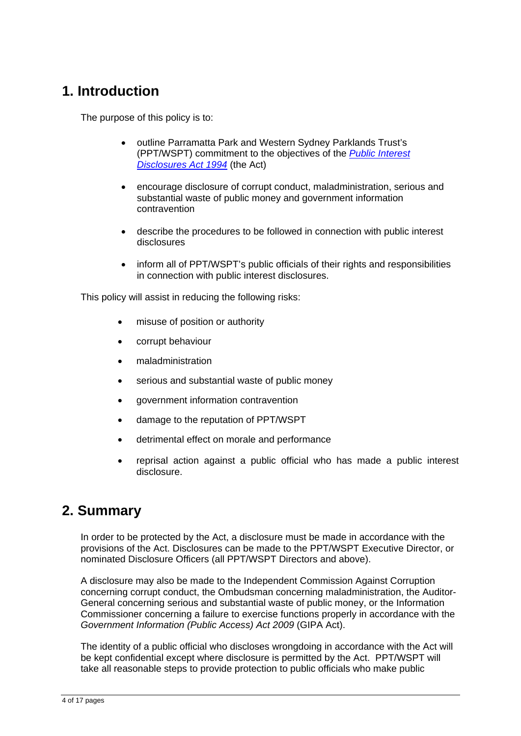## **1. Introduction**

The purpose of this policy is to:

- outline Parramatta Park and Western Sydney Parklands Trust's (PPT/WSPT) commitment to the objectives of the *Public Interest Disclosures Act 1994* (the Act)
- encourage disclosure of corrupt conduct, maladministration, serious and substantial waste of public money and government information contravention
- describe the procedures to be followed in connection with public interest disclosures
- inform all of PPT/WSPT's public officials of their rights and responsibilities in connection with public interest disclosures.

This policy will assist in reducing the following risks:

- misuse of position or authority
- corrupt behaviour
- maladministration
- serious and substantial waste of public money
- government information contravention
- damage to the reputation of PPT/WSPT
- detrimental effect on morale and performance
- reprisal action against a public official who has made a public interest disclosure.

## **2. Summary**

In order to be protected by the Act, a disclosure must be made in accordance with the provisions of the Act. Disclosures can be made to the PPT/WSPT Executive Director, or nominated Disclosure Officers (all PPT/WSPT Directors and above).

A disclosure may also be made to the Independent Commission Against Corruption concerning corrupt conduct, the Ombudsman concerning maladministration, the Auditor-General concerning serious and substantial waste of public money, or the Information Commissioner concerning a failure to exercise functions properly in accordance with the *Government Information (Public Access) Act 2009* (GIPA Act).

The identity of a public official who discloses wrongdoing in accordance with the Act will be kept confidential except where disclosure is permitted by the Act. PPT/WSPT will take all reasonable steps to provide protection to public officials who make public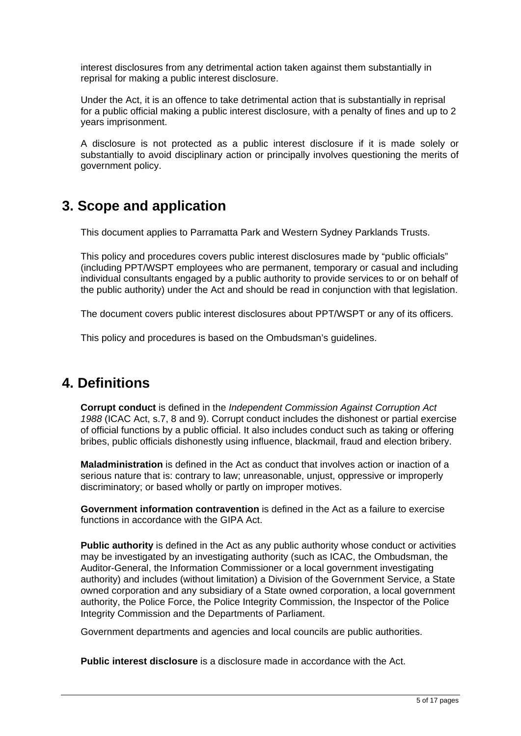interest disclosures from any detrimental action taken against them substantially in reprisal for making a public interest disclosure.

Under the Act, it is an offence to take detrimental action that is substantially in reprisal for a public official making a public interest disclosure, with a penalty of fines and up to 2 years imprisonment.

A disclosure is not protected as a public interest disclosure if it is made solely or substantially to avoid disciplinary action or principally involves questioning the merits of government policy.

## **3. Scope and application**

This document applies to Parramatta Park and Western Sydney Parklands Trusts.

This policy and procedures covers public interest disclosures made by "public officials" (including PPT/WSPT employees who are permanent, temporary or casual and including individual consultants engaged by a public authority to provide services to or on behalf of the public authority) under the Act and should be read in conjunction with that legislation.

The document covers public interest disclosures about PPT/WSPT or any of its officers.

This policy and procedures is based on the Ombudsman's guidelines.

## **4. Definitions**

**Corrupt conduct** is defined in the *Independent Commission Against Corruption Act 1988* (ICAC Act, s.7, 8 and 9). Corrupt conduct includes the dishonest or partial exercise of official functions by a public official. It also includes conduct such as taking or offering bribes, public officials dishonestly using influence, blackmail, fraud and election bribery.

**Maladministration** is defined in the Act as conduct that involves action or inaction of a serious nature that is: contrary to law; unreasonable, unjust, oppressive or improperly discriminatory; or based wholly or partly on improper motives.

**Government information contravention** is defined in the Act as a failure to exercise functions in accordance with the GIPA Act.

**Public authority** is defined in the Act as any public authority whose conduct or activities may be investigated by an investigating authority (such as ICAC, the Ombudsman, the Auditor-General, the Information Commissioner or a local government investigating authority) and includes (without limitation) a Division of the Government Service, a State owned corporation and any subsidiary of a State owned corporation, a local government authority, the Police Force, the Police Integrity Commission, the Inspector of the Police Integrity Commission and the Departments of Parliament.

Government departments and agencies and local councils are public authorities.

**Public interest disclosure** is a disclosure made in accordance with the Act.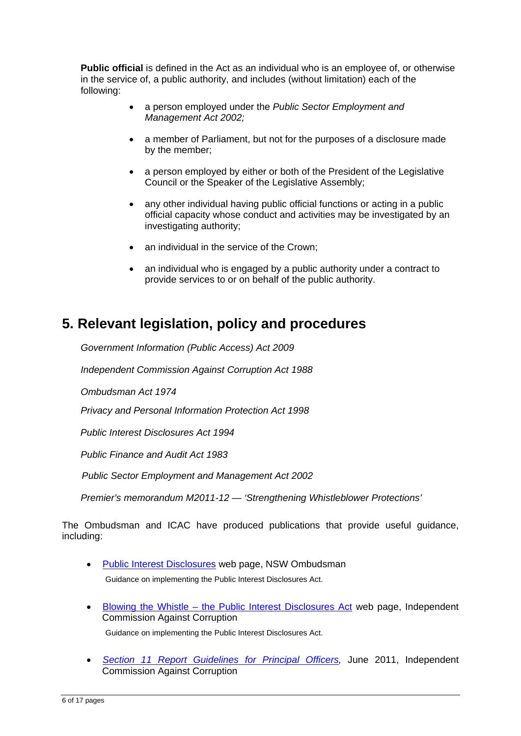**Public official** is defined in the Act as an individual who is an employee of, or otherwise in the service of, a public authority, and includes (without limitation) each of the following:

- a person employed under the *Public Sector Employment and Management Act 2002;*
- a member of Parliament, but not for the purposes of a disclosure made by the member;
- a person employed by either or both of the President of the Legislative Council or the Speaker of the Legislative Assembly;
- any other individual having public official functions or acting in a public official capacity whose conduct and activities may be investigated by an investigating authority;
- an individual in the service of the Crown;
- an individual who is engaged by a public authority under a contract to provide services to or on behalf of the public authority.

## **5. Relevant legislation, policy and procedures**

*Government Information (Public Access) Act 2009* 

*Independent Commission Against Corruption Act 1988* 

*Ombudsman Act 1974* 

*Privacy and Personal Information Protection Act 1998* 

 *Public Interest Disclosures Act 1994* 

*Public Finance and Audit Act 1983* 

*Public Sector Employment and Management Act 2002* 

*Premier's memorandum M2011-12 — 'Strengthening Whistleblower Protections'* 

The Ombudsman and ICAC have produced publications that provide useful guidance, including:

- Public Interest Disclosures web page, NSW Ombudsman Guidance on implementing the Public Interest Disclosures Act.
- Blowing the Whistle the Public Interest Disclosures Act web page, Independent Commission Against Corruption

Guidance on implementing the Public Interest Disclosures Act.

 *Section 11 Report Guidelines for Principal Officers,* June 2011, Independent Commission Against Corruption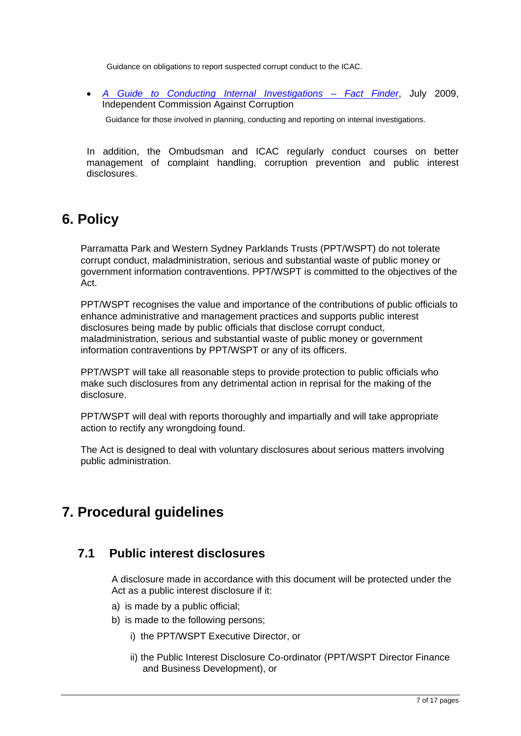Guidance on obligations to report suspected corrupt conduct to the ICAC.

 *A Guide to Conducting Internal Investigations – Fact Finder*, July 2009, Independent Commission Against Corruption

Guidance for those involved in planning, conducting and reporting on internal investigations.

In addition, the Ombudsman and ICAC regularly conduct courses on better management of complaint handling, corruption prevention and public interest disclosures.

## **6. Policy**

Parramatta Park and Western Sydney Parklands Trusts (PPT/WSPT) do not tolerate corrupt conduct, maladministration, serious and substantial waste of public money or government information contraventions. PPT/WSPT is committed to the objectives of the Act.

PPT/WSPT recognises the value and importance of the contributions of public officials to enhance administrative and management practices and supports public interest disclosures being made by public officials that disclose corrupt conduct, maladministration, serious and substantial waste of public money or government information contraventions by PPT/WSPT or any of its officers.

PPT/WSPT will take all reasonable steps to provide protection to public officials who make such disclosures from any detrimental action in reprisal for the making of the disclosure.

PPT/WSPT will deal with reports thoroughly and impartially and will take appropriate action to rectify any wrongdoing found.

The Act is designed to deal with voluntary disclosures about serious matters involving public administration.

## **7. Procedural guidelines**

#### **7.1 Public interest disclosures**

A disclosure made in accordance with this document will be protected under the Act as a public interest disclosure if it:

- a) is made by a public official;
- b) is made to the following persons;
	- i) the PPT/WSPT Executive Director, or
	- ii) the Public Interest Disclosure Co-ordinator (PPT/WSPT Director Finance and Business Development), or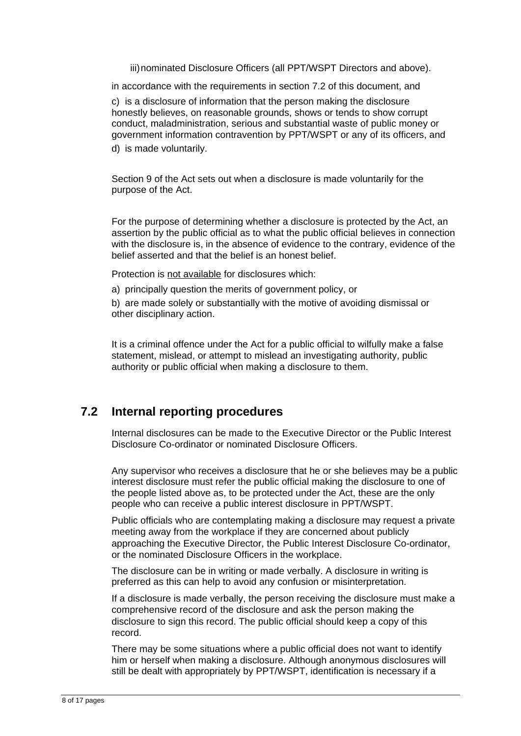iii) nominated Disclosure Officers (all PPT/WSPT Directors and above).

in accordance with the requirements in section 7.2 of this document, and

c) is a disclosure of information that the person making the disclosure honestly believes, on reasonable grounds, shows or tends to show corrupt conduct, maladministration, serious and substantial waste of public money or government information contravention by PPT/WSPT or any of its officers, and

d) is made voluntarily.

Section 9 of the Act sets out when a disclosure is made voluntarily for the purpose of the Act.

For the purpose of determining whether a disclosure is protected by the Act, an assertion by the public official as to what the public official believes in connection with the disclosure is, in the absence of evidence to the contrary, evidence of the belief asserted and that the belief is an honest belief.

Protection is not available for disclosures which:

a) principally question the merits of government policy, or

b) are made solely or substantially with the motive of avoiding dismissal or other disciplinary action.

It is a criminal offence under the Act for a public official to wilfully make a false statement, mislead, or attempt to mislead an investigating authority, public authority or public official when making a disclosure to them.

#### **7.2 Internal reporting procedures**

Internal disclosures can be made to the Executive Director or the Public Interest Disclosure Co-ordinator or nominated Disclosure Officers.

Any supervisor who receives a disclosure that he or she believes may be a public interest disclosure must refer the public official making the disclosure to one of the people listed above as, to be protected under the Act, these are the only people who can receive a public interest disclosure in PPT/WSPT.

Public officials who are contemplating making a disclosure may request a private meeting away from the workplace if they are concerned about publicly approaching the Executive Director, the Public Interest Disclosure Co-ordinator, or the nominated Disclosure Officers in the workplace.

The disclosure can be in writing or made verbally. A disclosure in writing is preferred as this can help to avoid any confusion or misinterpretation.

If a disclosure is made verbally, the person receiving the disclosure must make a comprehensive record of the disclosure and ask the person making the disclosure to sign this record. The public official should keep a copy of this record.

There may be some situations where a public official does not want to identify him or herself when making a disclosure. Although anonymous disclosures will still be dealt with appropriately by PPT/WSPT, identification is necessary if a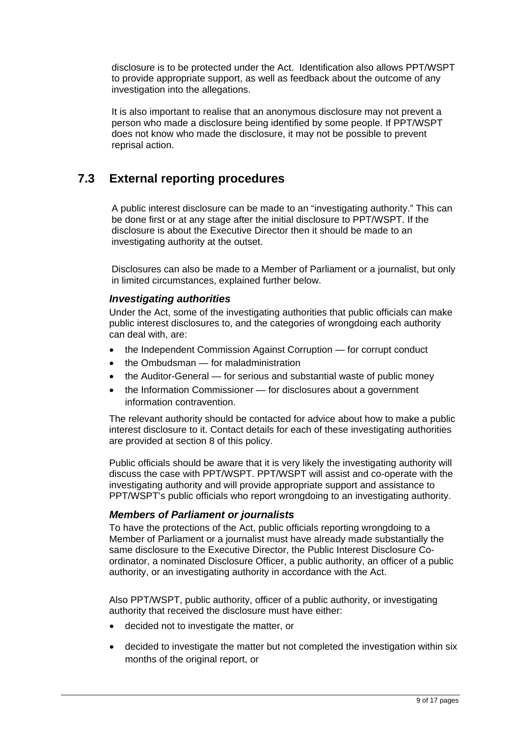disclosure is to be protected under the Act. Identification also allows PPT/WSPT to provide appropriate support, as well as feedback about the outcome of any investigation into the allegations.

It is also important to realise that an anonymous disclosure may not prevent a person who made a disclosure being identified by some people. If PPT/WSPT does not know who made the disclosure, it may not be possible to prevent reprisal action.

### **7.3 External reporting procedures**

A public interest disclosure can be made to an "investigating authority." This can be done first or at any stage after the initial disclosure to PPT/WSPT. If the disclosure is about the Executive Director then it should be made to an investigating authority at the outset.

Disclosures can also be made to a Member of Parliament or a journalist, but only in limited circumstances, explained further below.

#### *Investigating authorities*

Under the Act, some of the investigating authorities that public officials can make public interest disclosures to, and the categories of wrongdoing each authority can deal with, are:

- the Independent Commission Against Corruption for corrupt conduct
- the Ombudsman for maladministration
- the Auditor-General for serious and substantial waste of public money
- the Information Commissioner for disclosures about a government information contravention.

The relevant authority should be contacted for advice about how to make a public interest disclosure to it. Contact details for each of these investigating authorities are provided at section 8 of this policy.

Public officials should be aware that it is very likely the investigating authority will discuss the case with PPT/WSPT. PPT/WSPT will assist and co-operate with the investigating authority and will provide appropriate support and assistance to PPT/WSPT's public officials who report wrongdoing to an investigating authority.

#### *Members of Parliament or journalists*

To have the protections of the Act, public officials reporting wrongdoing to a Member of Parliament or a journalist must have already made substantially the same disclosure to the Executive Director, the Public Interest Disclosure Coordinator, a nominated Disclosure Officer, a public authority, an officer of a public authority, or an investigating authority in accordance with the Act.

Also PPT/WSPT, public authority, officer of a public authority, or investigating authority that received the disclosure must have either:

- decided not to investigate the matter, or
- decided to investigate the matter but not completed the investigation within six months of the original report, or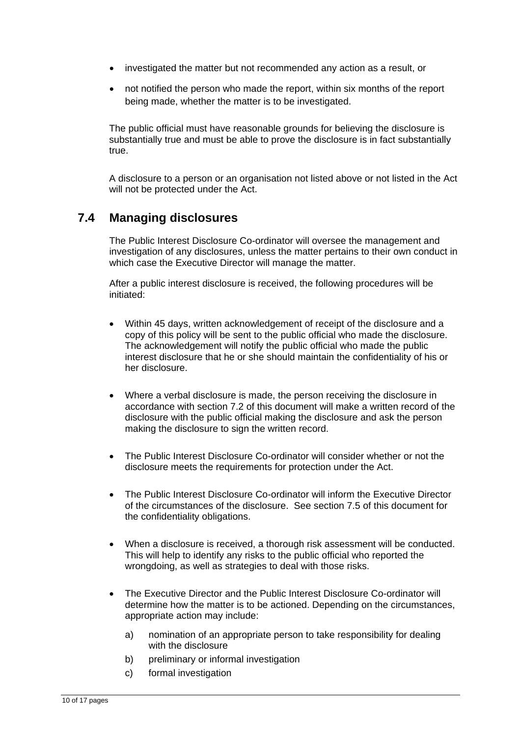- investigated the matter but not recommended any action as a result, or
- not notified the person who made the report, within six months of the report being made, whether the matter is to be investigated.

The public official must have reasonable grounds for believing the disclosure is substantially true and must be able to prove the disclosure is in fact substantially true.

A disclosure to a person or an organisation not listed above or not listed in the Act will not be protected under the Act.

### **7.4 Managing disclosures**

The Public Interest Disclosure Co-ordinator will oversee the management and investigation of any disclosures, unless the matter pertains to their own conduct in which case the Executive Director will manage the matter.

After a public interest disclosure is received, the following procedures will be initiated:

- Within 45 days, written acknowledgement of receipt of the disclosure and a copy of this policy will be sent to the public official who made the disclosure. The acknowledgement will notify the public official who made the public interest disclosure that he or she should maintain the confidentiality of his or her disclosure.
- Where a verbal disclosure is made, the person receiving the disclosure in accordance with section 7.2 of this document will make a written record of the disclosure with the public official making the disclosure and ask the person making the disclosure to sign the written record.
- The Public Interest Disclosure Co-ordinator will consider whether or not the disclosure meets the requirements for protection under the Act.
- The Public Interest Disclosure Co-ordinator will inform the Executive Director of the circumstances of the disclosure. See section 7.5 of this document for the confidentiality obligations.
- When a disclosure is received, a thorough risk assessment will be conducted. This will help to identify any risks to the public official who reported the wrongdoing, as well as strategies to deal with those risks.
- The Executive Director and the Public Interest Disclosure Co-ordinator will determine how the matter is to be actioned. Depending on the circumstances, appropriate action may include:
	- a) nomination of an appropriate person to take responsibility for dealing with the disclosure
	- b) preliminary or informal investigation
	- c) formal investigation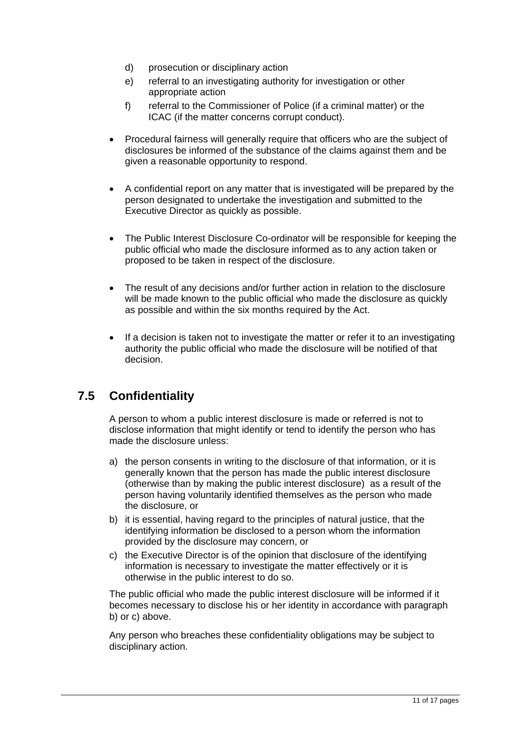- d) prosecution or disciplinary action
- e) referral to an investigating authority for investigation or other appropriate action
- f) referral to the Commissioner of Police (if a criminal matter) or the ICAC (if the matter concerns corrupt conduct).
- Procedural fairness will generally require that officers who are the subject of disclosures be informed of the substance of the claims against them and be given a reasonable opportunity to respond.
- A confidential report on any matter that is investigated will be prepared by the person designated to undertake the investigation and submitted to the Executive Director as quickly as possible.
- The Public Interest Disclosure Co-ordinator will be responsible for keeping the public official who made the disclosure informed as to any action taken or proposed to be taken in respect of the disclosure.
- The result of any decisions and/or further action in relation to the disclosure will be made known to the public official who made the disclosure as quickly as possible and within the six months required by the Act.
- If a decision is taken not to investigate the matter or refer it to an investigating authority the public official who made the disclosure will be notified of that decision.

## **7.5 Confidentiality**

A person to whom a public interest disclosure is made or referred is not to disclose information that might identify or tend to identify the person who has made the disclosure unless:

- a) the person consents in writing to the disclosure of that information, or it is generally known that the person has made the public interest disclosure (otherwise than by making the public interest disclosure) as a result of the person having voluntarily identified themselves as the person who made the disclosure, or
- b) it is essential, having regard to the principles of natural justice, that the identifying information be disclosed to a person whom the information provided by the disclosure may concern, or
- c) the Executive Director is of the opinion that disclosure of the identifying information is necessary to investigate the matter effectively or it is otherwise in the public interest to do so.

The public official who made the public interest disclosure will be informed if it becomes necessary to disclose his or her identity in accordance with paragraph b) or c) above.

Any person who breaches these confidentiality obligations may be subject to disciplinary action.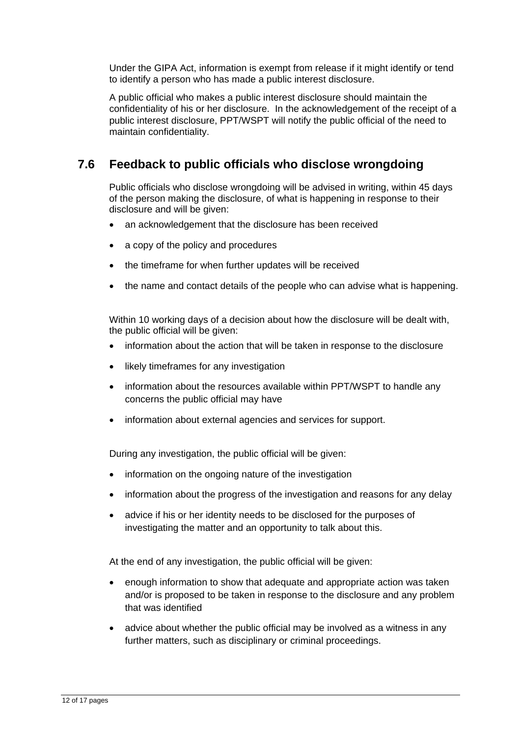Under the GIPA Act, information is exempt from release if it might identify or tend to identify a person who has made a public interest disclosure.

A public official who makes a public interest disclosure should maintain the confidentiality of his or her disclosure. In the acknowledgement of the receipt of a public interest disclosure, PPT/WSPT will notify the public official of the need to maintain confidentiality.

### **7.6 Feedback to public officials who disclose wrongdoing**

Public officials who disclose wrongdoing will be advised in writing, within 45 days of the person making the disclosure, of what is happening in response to their disclosure and will be given:

- an acknowledgement that the disclosure has been received
- a copy of the policy and procedures
- the timeframe for when further updates will be received
- the name and contact details of the people who can advise what is happening.

Within 10 working days of a decision about how the disclosure will be dealt with, the public official will be given:

- information about the action that will be taken in response to the disclosure
- likely timeframes for any investigation
- information about the resources available within PPT/WSPT to handle any concerns the public official may have
- information about external agencies and services for support.

During any investigation, the public official will be given:

- information on the ongoing nature of the investigation
- information about the progress of the investigation and reasons for any delay
- advice if his or her identity needs to be disclosed for the purposes of investigating the matter and an opportunity to talk about this.

At the end of any investigation, the public official will be given:

- enough information to show that adequate and appropriate action was taken and/or is proposed to be taken in response to the disclosure and any problem that was identified
- advice about whether the public official may be involved as a witness in any further matters, such as disciplinary or criminal proceedings.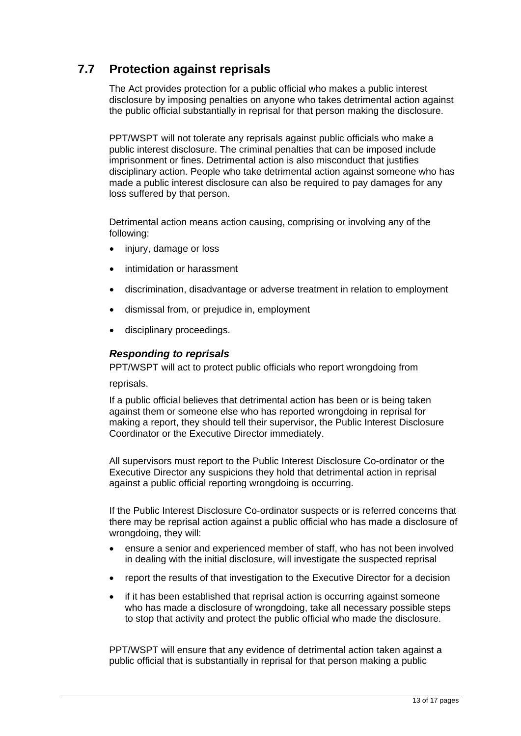## **7.7 Protection against reprisals**

The Act provides protection for a public official who makes a public interest disclosure by imposing penalties on anyone who takes detrimental action against the public official substantially in reprisal for that person making the disclosure.

PPT/WSPT will not tolerate any reprisals against public officials who make a public interest disclosure. The criminal penalties that can be imposed include imprisonment or fines. Detrimental action is also misconduct that justifies disciplinary action. People who take detrimental action against someone who has made a public interest disclosure can also be required to pay damages for any loss suffered by that person.

Detrimental action means action causing, comprising or involving any of the following:

- injury, damage or loss
- intimidation or harassment
- discrimination, disadvantage or adverse treatment in relation to employment
- dismissal from, or prejudice in, employment
- disciplinary proceedings.

#### *Responding to reprisals*

PPT/WSPT will act to protect public officials who report wrongdoing from

reprisals.

If a public official believes that detrimental action has been or is being taken against them or someone else who has reported wrongdoing in reprisal for making a report, they should tell their supervisor, the Public Interest Disclosure Coordinator or the Executive Director immediately.

All supervisors must report to the Public Interest Disclosure Co-ordinator or the Executive Director any suspicions they hold that detrimental action in reprisal against a public official reporting wrongdoing is occurring.

If the Public Interest Disclosure Co-ordinator suspects or is referred concerns that there may be reprisal action against a public official who has made a disclosure of wrongdoing, they will:

- ensure a senior and experienced member of staff, who has not been involved in dealing with the initial disclosure, will investigate the suspected reprisal
- report the results of that investigation to the Executive Director for a decision
- if it has been established that reprisal action is occurring against someone who has made a disclosure of wrongdoing, take all necessary possible steps to stop that activity and protect the public official who made the disclosure.

PPT/WSPT will ensure that any evidence of detrimental action taken against a public official that is substantially in reprisal for that person making a public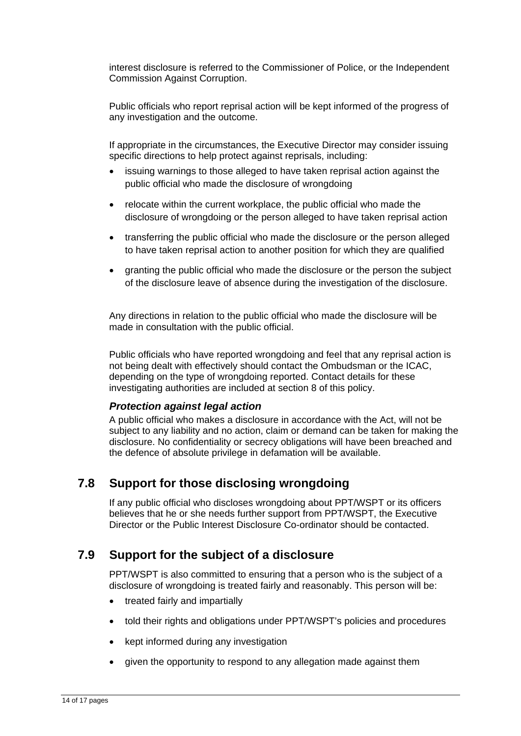interest disclosure is referred to the Commissioner of Police, or the Independent Commission Against Corruption.

Public officials who report reprisal action will be kept informed of the progress of any investigation and the outcome.

If appropriate in the circumstances, the Executive Director may consider issuing specific directions to help protect against reprisals, including:

- issuing warnings to those alleged to have taken reprisal action against the public official who made the disclosure of wrongdoing
- relocate within the current workplace, the public official who made the disclosure of wrongdoing or the person alleged to have taken reprisal action
- transferring the public official who made the disclosure or the person alleged to have taken reprisal action to another position for which they are qualified
- granting the public official who made the disclosure or the person the subject of the disclosure leave of absence during the investigation of the disclosure.

Any directions in relation to the public official who made the disclosure will be made in consultation with the public official.

Public officials who have reported wrongdoing and feel that any reprisal action is not being dealt with effectively should contact the Ombudsman or the ICAC, depending on the type of wrongdoing reported. Contact details for these investigating authorities are included at section 8 of this policy.

#### *Protection against legal action*

A public official who makes a disclosure in accordance with the Act, will not be subject to any liability and no action, claim or demand can be taken for making the disclosure. No confidentiality or secrecy obligations will have been breached and the defence of absolute privilege in defamation will be available.

### **7.8 Support for those disclosing wrongdoing**

If any public official who discloses wrongdoing about PPT/WSPT or its officers believes that he or she needs further support from PPT/WSPT, the Executive Director or the Public Interest Disclosure Co-ordinator should be contacted.

### **7.9 Support for the subject of a disclosure**

PPT/WSPT is also committed to ensuring that a person who is the subject of a disclosure of wrongdoing is treated fairly and reasonably. This person will be:

- treated fairly and impartially
- told their rights and obligations under PPT/WSPT's policies and procedures
- kept informed during any investigation
- given the opportunity to respond to any allegation made against them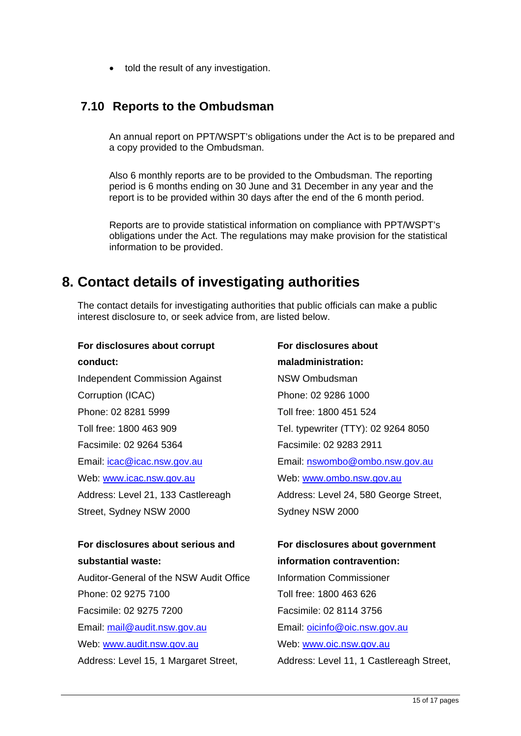• told the result of any investigation.

### **7.10 Reports to the Ombudsman**

An annual report on PPT/WSPT's obligations under the Act is to be prepared and a copy provided to the Ombudsman.

Also 6 monthly reports are to be provided to the Ombudsman. The reporting period is 6 months ending on 30 June and 31 December in any year and the report is to be provided within 30 days after the end of the 6 month period.

Reports are to provide statistical information on compliance with PPT/WSPT's obligations under the Act. The regulations may make provision for the statistical information to be provided.

## **8. Contact details of investigating authorities**

The contact details for investigating authorities that public officials can make a public interest disclosure to, or seek advice from, are listed below.

## **For disclosures about corrupt conduct:**

Independent Commission Against Corruption (ICAC) Phone: 02 8281 5999 Toll free: 1800 463 909 Facsimile: 02 9264 5364 Email: icac@icac.nsw.gov.au Web: www.icac.nsw.gov.au Address: Level 21, 133 Castlereagh Street, Sydney NSW 2000

#### **For disclosures about serious and substantial waste:**

Auditor-General of the NSW Audit Office Phone: 02 9275 7100 Facsimile: 02 9275 7200 Email: mail@audit.nsw.gov.au Web: www.audit.nsw.gov.au Address: Level 15, 1 Margaret Street,

**For disclosures about maladministration:**  NSW Ombudsman Phone: 02 9286 1000 Toll free: 1800 451 524 Tel. typewriter (TTY): 02 9264 8050 Facsimile: 02 9283 2911 Email: nswombo@ombo.nsw.gov.au Web: www.ombo.nsw.gov.au Address: Level 24, 580 George Street, Sydney NSW 2000

#### **For disclosures about government information contravention:**

Information Commissioner Toll free: 1800 463 626 Facsimile: 02 8114 3756 Email: oicinfo@oic.nsw.gov.au Web: www.oic.nsw.gov.au Address: Level 11, 1 Castlereagh Street,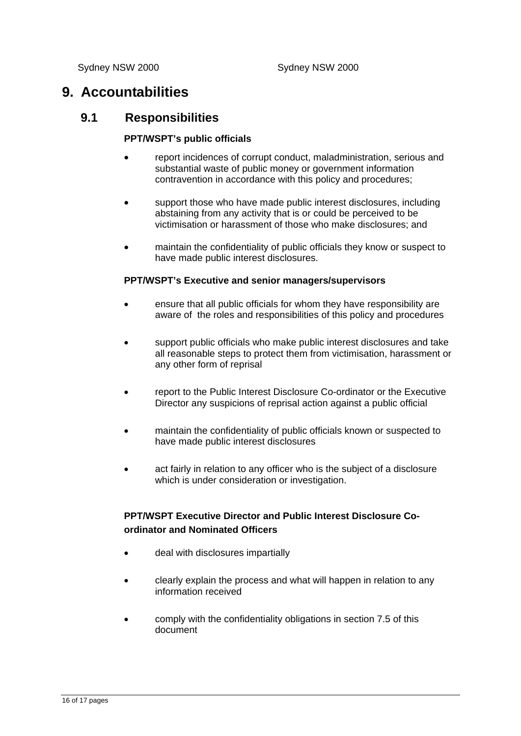## **9. Accountabilities**

### **9.1 Responsibilities**

#### **PPT/WSPT's public officials**

- report incidences of corrupt conduct, maladministration, serious and substantial waste of public money or government information contravention in accordance with this policy and procedures;
- support those who have made public interest disclosures, including abstaining from any activity that is or could be perceived to be victimisation or harassment of those who make disclosures; and
- maintain the confidentiality of public officials they know or suspect to have made public interest disclosures.

#### **PPT/WSPT's Executive and senior managers/supervisors**

- ensure that all public officials for whom they have responsibility are aware of the roles and responsibilities of this policy and procedures
- support public officials who make public interest disclosures and take all reasonable steps to protect them from victimisation, harassment or any other form of reprisal
- report to the Public Interest Disclosure Co-ordinator or the Executive Director any suspicions of reprisal action against a public official
- maintain the confidentiality of public officials known or suspected to have made public interest disclosures
- act fairly in relation to any officer who is the subject of a disclosure which is under consideration or investigation.

#### **PPT/WSPT Executive Director and Public Interest Disclosure Coordinator and Nominated Officers**

- deal with disclosures impartially
- clearly explain the process and what will happen in relation to any information received
- comply with the confidentiality obligations in section 7.5 of this document